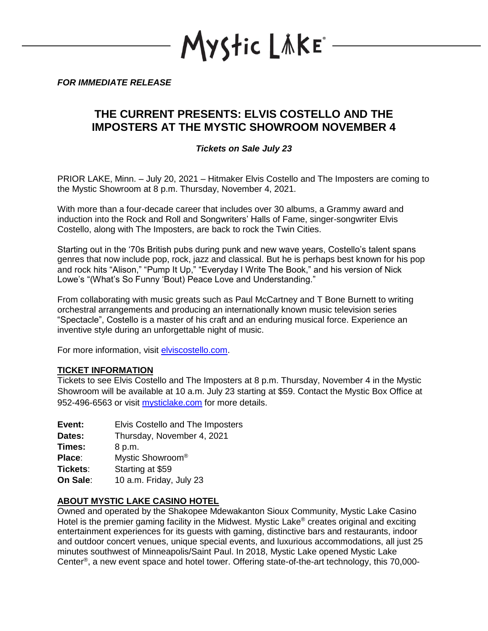YStic LÄKE\*

*FOR IMMEDIATE RELEASE*

# **THE CURRENT PRESENTS: ELVIS COSTELLO AND THE IMPOSTERS AT THE MYSTIC SHOWROOM NOVEMBER 4**

## *Tickets on Sale July 23*

PRIOR LAKE, Minn. – July 20, 2021 – Hitmaker Elvis Costello and The Imposters are coming to the Mystic Showroom at 8 p.m. Thursday, November 4, 2021.

With more than a four-decade career that includes over 30 albums, a Grammy award and induction into the Rock and Roll and Songwriters' Halls of Fame, singer-songwriter Elvis Costello, along with The Imposters, are back to rock the Twin Cities.

Starting out in the '70s British pubs during punk and new wave years, Costello's talent spans genres that now include pop, rock, jazz and classical. But he is perhaps best known for his pop and rock hits "Alison," "Pump It Up," "Everyday I Write The Book," and his version of Nick Lowe's "(What's So Funny 'Bout) Peace Love and Understanding."

From collaborating with music greats such as Paul McCartney and T Bone Burnett to writing orchestral arrangements and producing an internationally known music television series "Spectacle", Costello is a master of his craft and an enduring musical force. Experience an inventive style during an unforgettable night of music.

For more information, visit [elviscostello.com.](https://www.elviscostello.com/#!/)

### **TICKET INFORMATION**

Tickets to see Elvis Costello and The Imposters at 8 p.m. Thursday, November 4 in the Mystic Showroom will be available at 10 a.m. July 23 starting at \$59. Contact the Mystic Box Office at 952-496-6563 or visit [mysticlake.com](http://www.mysticlake.com/) for more details.

**Event:** Elvis Costello and The Imposters

**Dates:** Thursday, November 4, 2021

**Times:** 8 p.m.

**Place**: Mystic Showroom®

**Tickets**: Starting at \$59

**On Sale**: 10 a.m. Friday, July 23

### **ABOUT MYSTIC LAKE CASINO HOTEL**

Owned and operated by the Shakopee Mdewakanton Sioux Community, Mystic Lake Casino Hotel is the premier gaming facility in the Midwest. Mystic Lake<sup>®</sup> creates original and exciting entertainment experiences for its guests with gaming, distinctive bars and restaurants, indoor and outdoor concert venues, unique special events, and luxurious accommodations, all just 25 minutes southwest of Minneapolis/Saint Paul. In 2018, Mystic Lake opened Mystic Lake Center® , a new event space and hotel tower. Offering state-of-the-art technology, this 70,000-